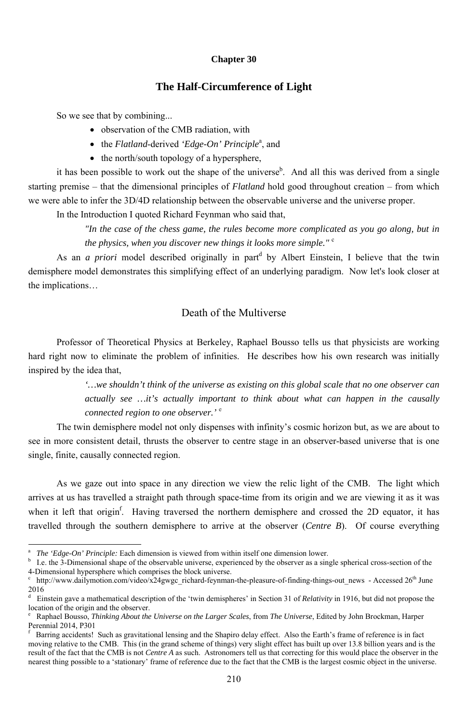#### **Chapter 30**

### **The Half-Circumference of Light**

So we see that by combining...

- observation of the CMB radiation, with
- the *Flatland*-derived '*Edge-On' Principle*<sup>*a*</sup>, and
- the north/south topology of a hypersphere,

it has been possible to work out the shape of the universe<sup>b</sup>. And all this was derived from a single starting premise – that the dimensional principles of *Flatland* hold good throughout creation – from which we were able to infer the 3D/4D relationship between the observable universe and the universe proper.

As an *a priori* model described originally in part<sup>d</sup> by Albert Einstein, I believe that the twin demisphere model demonstrates this simplifying effect of an underlying paradigm. Now let's look closer at the implications…

In the Introduction I quoted Richard Feynman who said that,

*"In the case of the chess game, the rules become more complicated as you go along, but in the physics, when you discover new things it looks more simple."* <sup>c</sup>

## Death of the Multiverse

Professor of Theoretical Physics at Berkeley, Raphael Bousso tells us that physicists are working hard right now to eliminate the problem of infinities. He describes how his own research was initially inspired by the idea that,

> *'…we shouldn't think of the universe as existing on this global scale that no one observer can actually see …it's actually important to think about what can happen in the causally connected region to one observer.'* <sup>e</sup>

The twin demisphere model not only dispenses with infinity's cosmic horizon but, as we are about to see in more consistent detail, thrusts the observer to centre stage in an observer-based universe that is one single, finite, causally connected region.

As we gaze out into space in any direction we view the relic light of the CMB. The light which arrives at us has travelled a straight path through space-time from its origin and we are viewing it as it was when it left that origin<sup>f</sup>. Having traversed the northern demisphere and crossed the 2D equator, it has travelled through the southern demisphere to arrive at the observer (*Centre B*). Of course everything

a *The 'Edge-On' Principle:* Each dimension is viewed from within itself one dimension lower.

-

b I.e. the 3-Dimensional shape of the observable universe, experienced by the observer as a single spherical cross-section of the 4-Dimensional hypersphere which comprises the block universe.

c http://www.dailymotion.com/video/x24gwgc\_richard-feynman-the-pleasure-of-finding-things-out\_news - Accessed 26<sup>th</sup> June 2016

d Einstein gave a mathematical description of the 'twin demispheres' in Section 31 of *Relativity* in 1916, but did not propose the location of the origin and the observer.

e Raphael Bousso, *Thinking About the Universe on the Larger Scales*, from *The Universe*, Edited by John Brockman, Harper Perennial 2014, P301

f Barring accidents! Such as gravitational lensing and the Shapiro delay effect. Also the Earth's frame of reference is in fact moving relative to the CMB. This (in the grand scheme of things) very slight effect has built up over 13.8 billion years and is the result of the fact that the CMB is not *Centre A* as such. Astronomers tell us that correcting for this would place the observer in the nearest thing possible to a 'stationary' frame of reference due to the fact that the CMB is the largest cosmic object in the universe.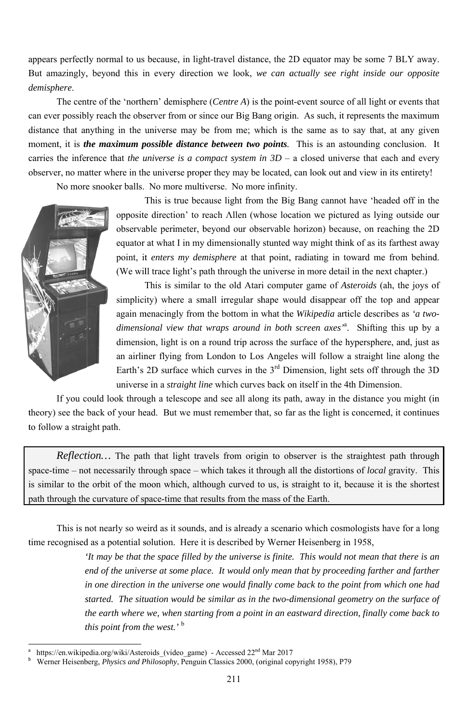appears perfectly normal to us because, in light-travel distance, the 2D equator may be some 7 BLY away. But amazingly, beyond this in every direction we look, we can actually see right inside our opposite *d demisph here*.

can ever possibly reach the observer from or since our Big Bang origin. As such, it represents the maximum distance that anything in the universe may be from me; which is the same as to say that, at any given moment, it is *the maximum possible distance between two points*. This is an astounding conclusion. I carries the inference that *the universe* is a compact system in  $3D - a$  closed universe that each and every observer, no matter where in the universe proper they may be located, can look out and view in its entirety! The centre of the 'northern' demisphere (*Centre A*) is the point-event source of all light or events that m<br>n<br>It y<br>e

No more snooker balls. No more multiverse. No more infinity.



l

l

l

l

This is true because light from the Big Bang cannot have 'headed off in th opposite direction' to reach Allen (whose location we pictured as lying outside our observable perimeter, beyond our observable horizon) because, on reaching the 2D equator at what I in my dimensionally stunted way might think of as its farthest away point, it *enters my demisphere* at that point, radiating in toward me from behind (We will trace light's path through the universe in more detail in the next chapter.) D<br>ay<br>d.

This is similar to the old Atari computer game of *Asteroids* (ah, the joys of simplicity) where a small irregular shape would disappear off the top and appear again menacingly from the bottom in what the *Wikipedia* article describes as 'a two*dimensional view that wraps around in both screen axes<sup>'a</sup>. Shifting this up by a* dimension, light is on a round trip across the surface of the hypersphere, and, just as an airliner flying from London to Los Angeles will follow a straight line along the Earth's 2D surface which curves in the  $3<sup>rd</sup>$  Dimension, light sets off through the 3D universe in a *straight line* which curves back on itself in the 4th Dimension. *s* be some 7 BL<br>ght inside our<br>of all light or ev<br>represents the m<br>os say that, at are<br>tounding conclu-<br>rrse that each and<br>view in its er<br>have 'headed of<br>red as lying out<br>use, on reaching<br>wase, on reaching<br>wase, on reachi D<br>in

theory) see the back of your head. But we must remember that, so far as the light is concerned, it continues to follow a straight path. If you could look through a telescope and see all along its path, away in the distance you might (in

*Reflection*... The path that light travels from origin to observer is the straightest path through space-time – not necessarily through space – which takes it through all the distortions of *local* gravity. This is similar to the orbit of the moon which, although curved to us, is straight to it, because it is the shortest path through the curvature of space-time that results from the mass of the Earth. *Reflection*... The path that light travels from origin to observer is the straightest path through

This is not nearly so weird as it sounds, and is already a scenario which cosmologists have for a long

time recognised as a potential solution. Here it is described by Werner Heisenberg in 1958, *'It may be that the space filled by the universe is finite. This would not mean that there is an end of the universe at some place. It would only mean that by proceeding farther and farther in one direction in the universe one would finally come back to the point from which one had started.* The situation would be similar as in the two-dimensional geometry on the surface of *the earth where we, when starting from a point in an eastward direction, finally come back to* this point from the west.'<sup>b</sup>

a b https://en.wikipedia.org/wiki/Asteroids\_(video\_game) - Accessed 22<sup>nd</sup> Mar 2017 https://en.wikipedia.org/wiki/Asteroids\_(video\_game) - Accessed 22<sup>nd</sup> Mar 2017<br>Werner Heisenberg, *Physics and Philosophy*, Penguin Classics 2000, (original copyright 1958), P79

<sup>2</sup> 11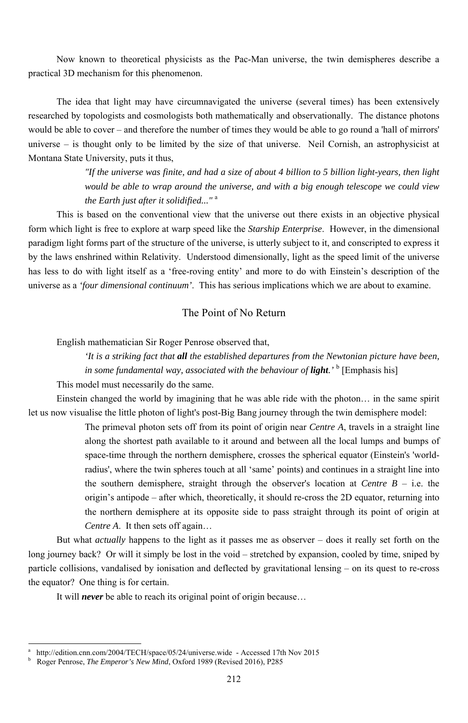Now known to theoretical physicists as the Pac-Man universe, the twin demispheres describe a practical 3D mechanism for this phenomenon.

The idea that light may have circumnavigated the universe (several times) has been extensively researched by topologists and cosmologists both mathematically and observationally. The distance photons would be able to cover – and therefore the number of times they would be able to go round a 'hall of mirrors' universe – is thought only to be limited by the size of that universe. Neil Cornish, an astrophysicist at Montana State University, puts it thus,

> *"If the universe was finite, and had a size of about 4 billion to 5 billion light-years, then light would be able to wrap around the universe, and with a big enough telescope we could view the Earth just after it solidified..."* <sup>a</sup>

> *'It is a striking fact that all the established departures from the Newtonian picture have been, in some fundamental way, associated with the behaviour of light.'* <sup>b</sup> [Emphasis his]

> The primeval photon sets off from its point of origin near *Centre A*, travels in a straight line along the shortest path available to it around and between all the local lumps and bumps of space-time through the northern demisphere, crosses the spherical equator (Einstein's 'worldradius', where the twin spheres touch at all 'same' points) and continues in a straight line into the southern demisphere, straight through the observer's location at *Centre B* – i.e. the origin's antipode – after which, theoretically, it should re-cross the 2D equator, returning into the northern demisphere at its opposite side to pass straight through its point of origin at *Centre A.* It then sets off again...

This is based on the conventional view that the universe out there exists in an objective physical form which light is free to explore at warp speed like the *Starship Enterprise*. However, in the dimensional paradigm light forms part of the structure of the universe, is utterly subject to it, and conscripted to express it by the laws enshrined within Relativity. Understood dimensionally, light as the speed limit of the universe has less to do with light itself as a 'free-roving entity' and more to do with Einstein's description of the universe as a *'four dimensional continuum'*. This has serious implications which we are about to examine.

### The Point of No Return

English mathematician Sir Roger Penrose observed that,

This model must necessarily do the same.

Einstein changed the world by imagining that he was able ride with the photon… in the same spirit let us now visualise the little photon of light's post-Big Bang journey through the twin demisphere model:

But what *actually* happens to the light as it passes me as observer – does it really set forth on the long journey back? Or will it simply be lost in the void – stretched by expansion, cooled by time, sniped by particle collisions, vandalised by ionisation and deflected by gravitational lensing – on its quest to re-cross the equator? One thing is for certain.

It will *never* be able to reach its original point of origin because…

-

<sup>212</sup>

a http://edition.cnn.com/2004/TECH/space/05/24/universe.wide - Accessed 17th Nov 2015 b Roger Penrose, *The Emperor's New Mind*, Oxford 1989 (Revised 2016), P285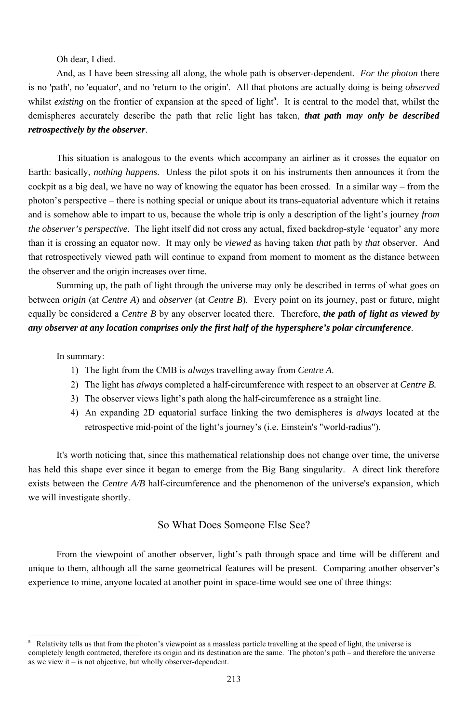Oh dear, I died.

And, as I have been stressing all along, the whole path is observer-dependent. *For the photon* there is no 'path', no 'equator', and no 'return to the origin'. All that photons are actually doing is being *observed* whilst *existing* on the frontier of expansion at the speed of light<sup>a</sup>. It is central to the model that, whilst the demispheres accurately describe the path that relic light has taken, *that path may only be described retrospectively by the observer*.

This situation is analogous to the events which accompany an airliner as it crosses the equator on Earth: basically, *nothing happens*. Unless the pilot spots it on his instruments then announces it from the cockpit as a big deal, we have no way of knowing the equator has been crossed. In a similar way – from the photon's perspective – there is nothing special or unique about its trans-equatorial adventure which it retains and is somehow able to impart to us, because the whole trip is only a description of the light's journey *from the observer's perspective*. The light itself did not cross any actual, fixed backdrop-style 'equator' any more than it is crossing an equator now. It may only be *viewed* as having taken *that* path by *that* observer. And that retrospectively viewed path will continue to expand from moment to moment as the distance between the observer and the origin increases over time.

Summing up, the path of light through the universe may only be described in terms of what goes on between *origin* (at *Centre A*) and *observer* (at *Centre B*). Every point on its journey, past or future, might equally be considered a *Centre B* by any observer located there. Therefore, *the path of light as viewed by any observer at any location comprises only the first half of the hypersphere's polar circumference*.

In summary:

-

- 1) The light from the CMB is *always* travelling away from *Centre A*.
- 2) The light has *always* completed a half-circumference with respect to an observer at *Centre B.*
- 3) The observer views light's path along the half-circumference as a straight line.
- 4) An expanding 2D equatorial surface linking the two demispheres is *always* located at the retrospective mid-point of the light's journey's (i.e. Einstein's "world-radius").

It's worth noticing that, since this mathematical relationship does not change over time, the universe has held this shape ever since it began to emerge from the Big Bang singularity. A direct link therefore exists between the *Centre A/B* half-circumference and the phenomenon of the universe's expansion, which we will investigate shortly.

So What Does Someone Else See?

From the viewpoint of another observer, light's path through space and time will be different and unique to them, although all the same geometrical features will be present. Comparing another observer's experience to mine, anyone located at another point in space-time would see one of three things:

<sup>213</sup>

a Relativity tells us that from the photon's viewpoint as a massless particle travelling at the speed of light, the universe is completely length contracted, therefore its origin and its destination are the same. The photon's path – and therefore the universe as we view it – is not objective, but wholly observer-dependent.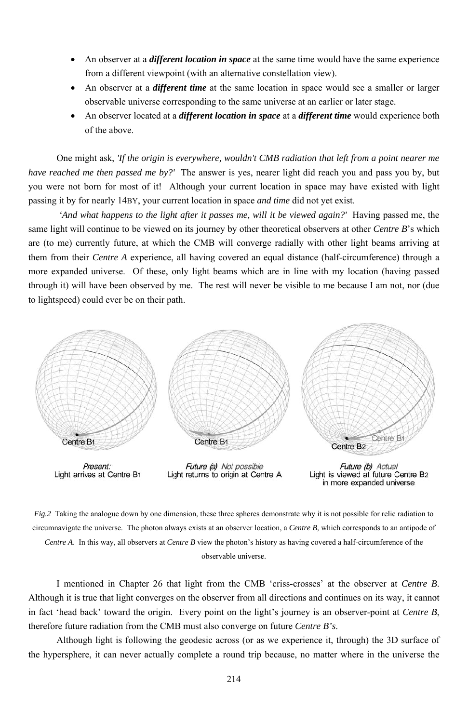- An observer at a *different location in space* at the same time would have the same experience from a different viewpoint (with an alternative constellation view).
- An observer at a *different time* at the same location in space would see a smaller or larger observable universe corresponding to the same universe at an earlier or later stage.
- An observer located at a *different location in space* at a *different time* would experience both o of the ab bove.

*have reached me then passed me by?'* The answer is yes, nearer light did reach you and pass you by, but you were not born for most of it! Although your current location in space may have existed with light passing it by for nearly 14BY, your current location in space *and time* did not yet exist. One might ask, 'If the origin is everywhere, wouldn't CMB radiation that left from a point nearer me

same light will continue to be viewed on its journey by other theoretical observers at other *Centre B*'s which<br>are (to me) currently future, at which the CMB will converge radially with other light beams arriving at are (to me) currently future, at which the CMB will converge radially with other light beams arriving a them from their *Centre* A experience, all having covered an equal distance (half-circumference) through a more expanded universe. Of these, only light beams which are in line with my location (having passed through it) will have been observed by me. The rest will never be visible to me because I am not, nor (due to lightspeed) could ever be on their path. 'And what happens to the light after it passes me, will it be viewed again?' Having passed me, the



Fig.2 Taking the analogue down by one dimension, these three spheres demonstrate why it is not possible for relic radiation to circumnavigate the universe. The photon always exists at an observer location, a *Centre B*, which corresponds to an antipode of

*Centre A*. In this way, all observers at *Centre B* view the photon's history as having covered a half-circumference of the observable universe.

Although it is true that light converges on the observer from all directions and continues on its way, it cannot in fact 'head back' toward the origin. Every point on the light's journey is an observer-point at *Centre B*, therefore future radiation from the CMB must also converge on future *Centre B's*. I mentioned in Chapter 26 that light from the CMB 'criss-crosses' at the observer at *Centre B* f<br>B.

the hypersphere, it can never actually complete a round trip because, no matter where in the universe the Although light is following the geodesic across (or as we experience it, through) the 3D surface of

2 14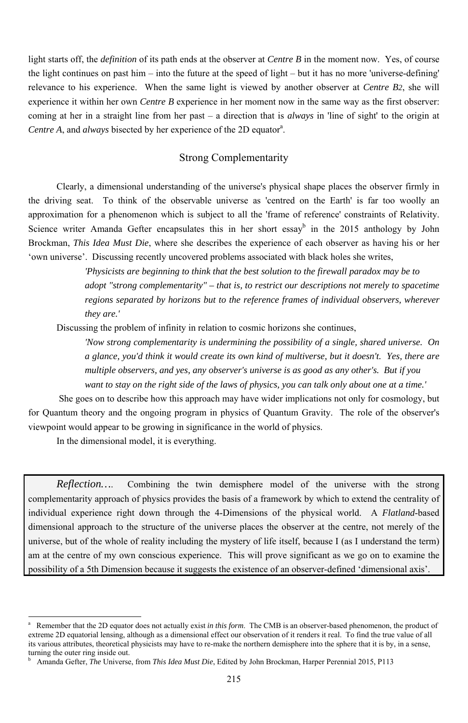light starts off, the *definition* of its path ends at the observer at *Centre B* in the moment now. Yes, of course the light continues on past him – into the future at the speed of light – but it has no more 'universe-defining' relevance to his experience. When the same light is viewed by another observer at *Centre B2*, she will experience it within her own *Centre B* experience in her moment now in the same way as the first observer: coming at her in a straight line from her past – a direction that is *always* in 'line of sight' to the origin at Centre A, and *always* bisected by her experience of the 2D equator<sup>a</sup>.

### Strong Complementarity

Clearly, a dimensional understanding of the universe's physical shape places the observer firmly in the driving seat. To think of the observable universe as 'centred on the Earth' is far too woolly an approximation for a phenomenon which is subject to all the 'frame of reference' constraints of Relativity. Science writer Amanda Gefter encapsulates this in her short essay<sup>b</sup> in the 2015 anthology by John Brockman, *This Idea Must Die*, where she describes the experience of each observer as having his or her 'own universe'. Discussing recently uncovered problems associated with black holes she writes,

> *'Physicists are beginning to think that the best solution to the firewall paradox may be to adopt "strong complementarity" – that is, to restrict our descriptions not merely to spacetime regions separated by horizons but to the reference frames of individual observers, wherever they are.'*

Discussing the problem of infinity in relation to cosmic horizons she continues,

 *'Now strong complementarity is undermining the possibility of a single, shared universe. On a glance, you'd think it would create its own kind of multiverse, but it doesn't. Yes, there are multiple observers, and yes, any observer's universe is as good as any other's. But if you want to stay on the right side of the laws of physics, you can talk only about one at a time.'* 

 She goes on to describe how this approach may have wider implications not only for cosmology, but for Quantum theory and the ongoing program in physics of Quantum Gravity. The role of the observer's viewpoint would appear to be growing in significance in the world of physics.

In the dimensional model, it is everything.

<sup>-</sup>

*Reflection…*. Combining the twin demisphere model of the universe with the strong complementarity approach of physics provides the basis of a framework by which to extend the centrality of individual experience right down through the 4-Dimensions of the physical world. A *Flatland*-based dimensional approach to the structure of the universe places the observer at the centre, not merely of the universe, but of the whole of reality including the mystery of life itself, because I (as I understand the term) am at the centre of my own conscious experience. This will prove significant as we go on to examine the possibility of a 5th Dimension because it suggests the existence of an observer-defined 'dimensional axis'.

b Amanda Gefter, *The* Universe, from *This Idea Must Die*, Edited by John Brockman, Harper Perennial 2015, P113

a Remember that the 2D equator does not actually exist *in this form*. The CMB is an observer-based phenomenon, the product of extreme 2D equatorial lensing, although as a dimensional effect our observation of it renders it real. To find the true value of all its various attributes, theoretical physicists may have to re-make the northern demisphere into the sphere that it is by, in a sense, turning the outer ring inside out.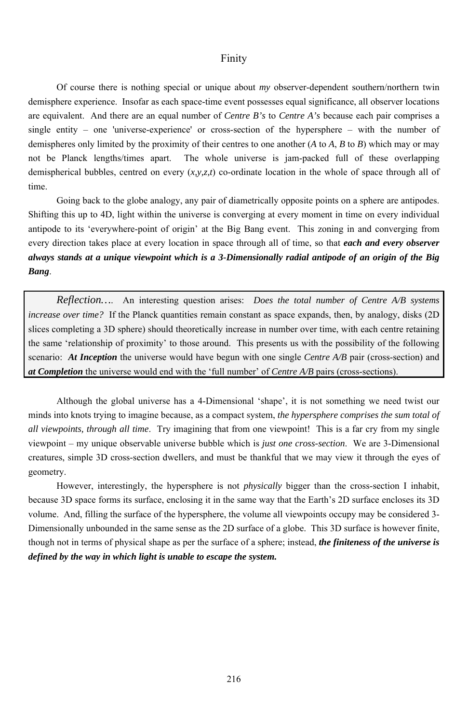#### Finity

Of course there is nothing special or unique about *my* observer-dependent southern/northern twin demisphere experience. Insofar as each space-time event possesses equal significance, all observer locations are equivalent. And there are an equal number of *Centre B's* to *Centre A's* because each pair comprises a single entity – one 'universe-experience' or cross-section of the hypersphere – with the number of demispheres only limited by the proximity of their centres to one another (*A* to *A*, *B* to *B*) which may or may not be Planck lengths/times apart. The whole universe is jam-packed full of these overlapping demispherical bubbles, centred on every (*x,y,z,t*) co-ordinate location in the whole of space through all of time.

Going back to the globe analogy, any pair of diametrically opposite points on a sphere are antipodes. Shifting this up to 4D, light within the universe is converging at every moment in time on every individual antipode to its 'everywhere-point of origin' at the Big Bang event. This zoning in and converging from every direction takes place at every location in space through all of time, so that *each and every observer always stands at a unique viewpoint which is a 3-Dimensionally radial antipode of an origin of the Big Bang*.

*Reflection…*. An interesting question arises: *Does the total number of Centre A/B systems increase over time?* If the Planck quantities remain constant as space expands, then, by analogy, disks (2D) slices completing a 3D sphere) should theoretically increase in number over time, with each centre retaining the same 'relationship of proximity' to those around. This presents us with the possibility of the following scenario: *At Inception* the universe would have begun with one single *Centre A/B* pair (cross-section) and *at Completion* the universe would end with the 'full number' of *Centre A/B* pairs (cross-sections).

Although the global universe has a 4-Dimensional 'shape', it is not something we need twist our minds into knots trying to imagine because, as a compact system, *the hypersphere comprises the sum total of all viewpoints, through all time*. Try imagining that from one viewpoint! This is a far cry from my single viewpoint – my unique observable universe bubble which is *just one cross-section*. We are 3-Dimensional creatures, simple 3D cross-section dwellers, and must be thankful that we may view it through the eyes of geometry.

However, interestingly, the hypersphere is not *physically* bigger than the cross-section I inhabit, because 3D space forms its surface, enclosing it in the same way that the Earth's 2D surface encloses its 3D volume. And, filling the surface of the hypersphere, the volume all viewpoints occupy may be considered 3- Dimensionally unbounded in the same sense as the 2D surface of a globe. This 3D surface is however finite,

though not in terms of physical shape as per the surface of a sphere; instead, *the finiteness of the universe is defined by the way in which light is unable to escape the system.*